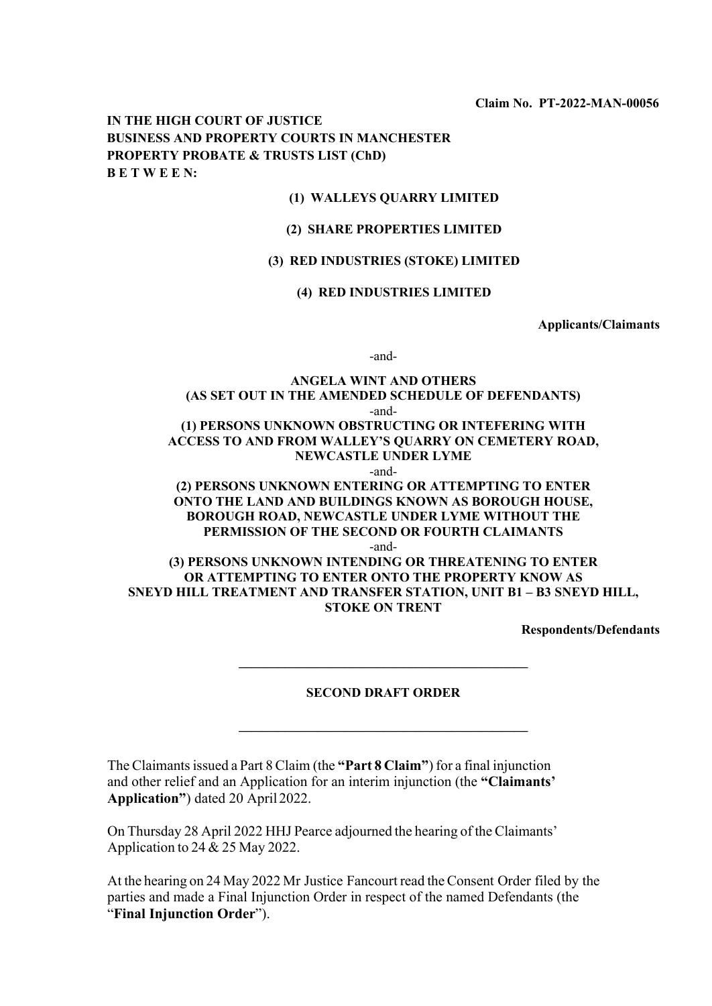**Claim No. PT-2022-MAN-00056**

## **IN THE HIGH COURT OF JUSTICE BUSINESS AND PROPERTY COURTS IN MANCHESTER PROPERTY PROBATE & TRUSTS LIST (ChD) B E T W E E N:**

### **(1) WALLEYS QUARRY LIMITED**

### **(2) SHARE PROPERTIES LIMITED**

#### **(3) RED INDUSTRIES (STOKE) LIMITED**

### **(4) RED INDUSTRIES LIMITED**

**Applicants/Claimants**

-and-

## **ANGELA WINT AND OTHERS (AS SET OUT IN THE AMENDED SCHEDULE OF DEFENDANTS)** -and- **(1) PERSONS UNKNOWN OBSTRUCTING OR INTEFERING WITH ACCESS TO AND FROM WALLEY'S QUARRY ON CEMETERY ROAD, NEWCASTLE UNDER LYME**

-and-

## **(2) PERSONS UNKNOWN ENTERING OR ATTEMPTING TO ENTER ONTO THE LAND AND BUILDINGS KNOWN AS BOROUGH HOUSE, BOROUGH ROAD, NEWCASTLE UNDER LYME WITHOUT THE PERMISSION OF THE SECOND OR FOURTH CLAIMANTS**

-and-

**(3) PERSONS UNKNOWN INTENDING OR THREATENING TO ENTER OR ATTEMPTING TO ENTER ONTO THE PROPERTY KNOW AS SNEYD HILL TREATMENT AND TRANSFER STATION, UNIT B1 – B3 SNEYD HILL, STOKE ON TRENT**

**Respondents/Defendants**

#### **SECOND DRAFT ORDER**

**\_\_\_\_\_\_\_\_\_\_\_\_\_\_\_\_\_\_\_\_\_\_\_\_\_\_\_\_\_\_\_\_\_\_\_\_\_\_\_\_\_\_\_\_**

**\_\_\_\_\_\_\_\_\_\_\_\_\_\_\_\_\_\_\_\_\_\_\_\_\_\_\_\_\_\_\_\_\_\_\_\_\_\_\_\_\_\_\_\_**

The Claimantsissued a Part 8 Claim (the **"Part 8 Claim"**) for a final injunction and other relief and an Application for an interim injunction (the **"Claimants' Application"**) dated 20 April 2022.

On Thursday 28 April 2022 HHJ Pearce adjourned the hearing of the Claimants' Application to 24 & 25 May 2022.

At the hearing on 24 May 2022 Mr Justice Fancourt read theConsent Order filed by the parties and made a Final Injunction Order in respect of the named Defendants (the "**Final Injunction Order**").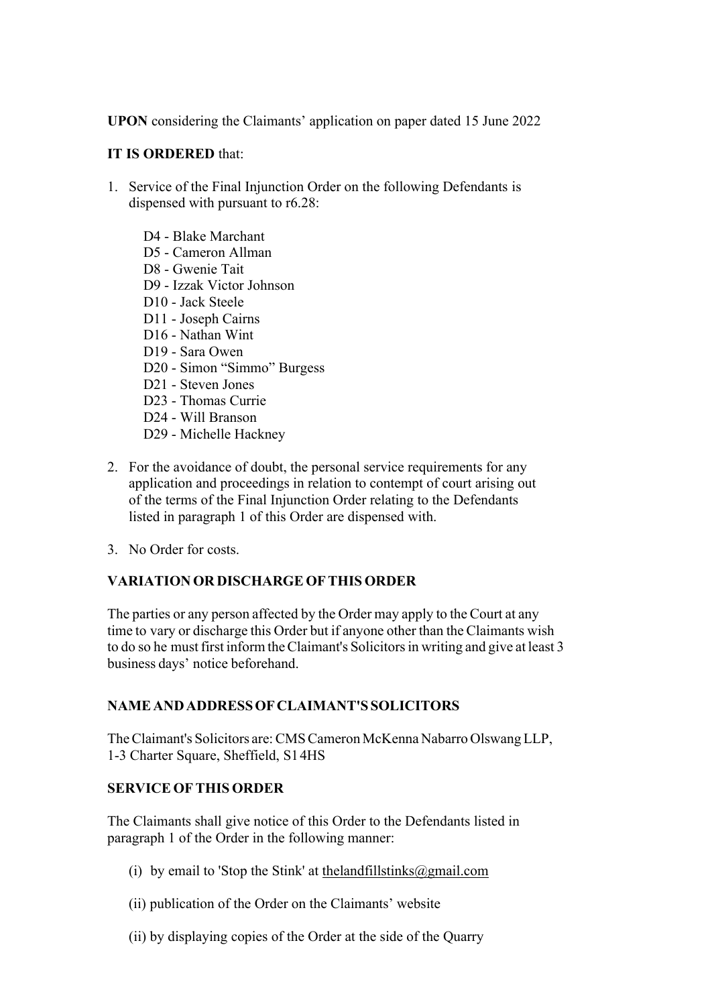**UPON** considering the Claimants' application on paper dated 15 June 2022

# **IT IS ORDERED** that:

- 1. Service of the Final Injunction Order on the following Defendants is dispensed with pursuant to r6.28:
	- D4 Blake Marchant
	- D5 Cameron Allman
	- D8 Gwenie Tait
	- D9 Izzak Victor Johnson
	- D10 Jack Steele
	- D11 Joseph Cairns
	- D16 Nathan Wint
	- D19 Sara Owen
	- D20 Simon "Simmo" Burgess
	- D21 Steven Jones
	- D23 Thomas Currie
	- D24 Will Branson
	- D29 Michelle Hackney
- 2. For the avoidance of doubt, the personal service requirements for any application and proceedings in relation to contempt of court arising out of the terms of the Final Injunction Order relating to the Defendants listed in paragraph 1 of this Order are dispensed with.
- 3. No Order for costs.

# **VARIATIONOR DISCHARGE OFTHIS ORDER**

The parties or any person affected by the Order may apply to the Court at any time to vary or discharge this Order but if anyone other than the Claimants wish to do so he must first inform the Claimant's Solicitors in writing and give at least 3 business days' notice beforehand.

# **NAMEANDADDRESSOFCLAIMANT'S SOLICITORS**

TheClaimant's Solicitors are:CMSCameron McKenna Nabarro Olswang LLP, 1-3 Charter Square, Sheffield, S14HS

## **SERVICE OFTHIS ORDER**

The Claimants shall give notice of this Order to the Defendants listed in paragraph 1 of the Order in the following manner:

- (i) by email to 'Stop the Stink' at the landfillstinks  $@g$  mail.com
- (ii) publication of the Order on the Claimants' website
- (ii) by displaying copies of the Order at the side of the Quarry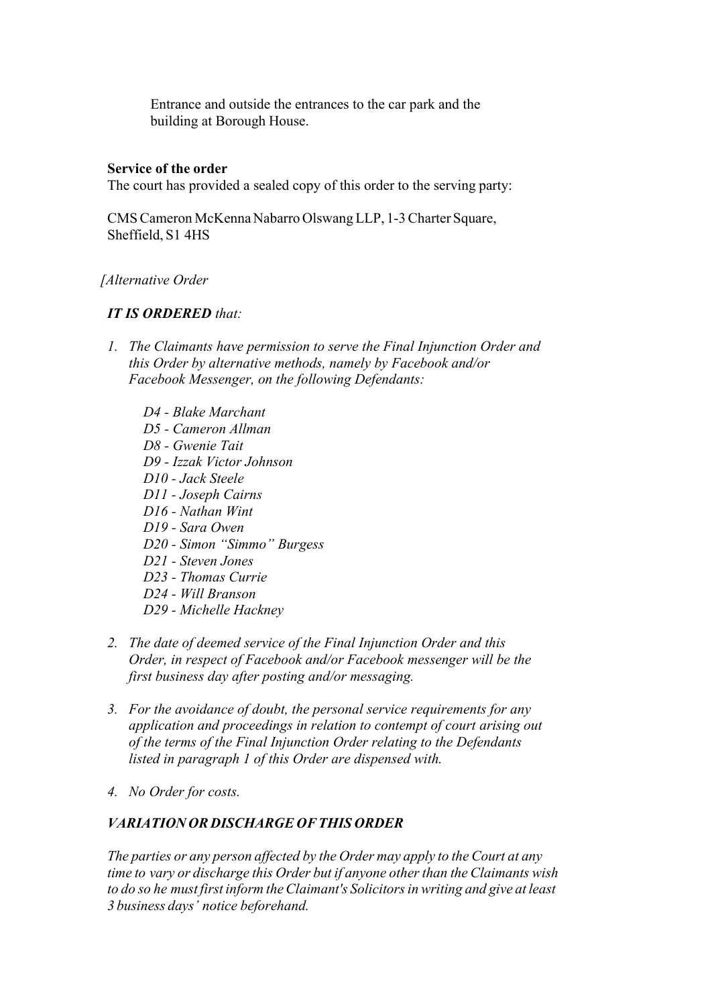Entrance and outside the entrances to the car park and the building at Borough House.

# **Service of the order**

The court has provided a sealed copy of this order to the serving party:

CMSCameron McKenna Nabarro Olswang LLP, 1-3Charter Square, Sheffield, S1 4HS

## *[Alternative Order*

## *IT IS ORDERED that:*

- *1. The Claimants have permission to serve the Final Injunction Order and this Order by alternative methods, namely by Facebook and/or Facebook Messenger, on the following Defendants:*
	- *D4 - Blake Marchant D5 - Cameron Allman D8 - Gwenie Tait D9 - Izzak Victor Johnson D10 - Jack Steele D11 - Joseph Cairns D16 - Nathan Wint D19 - Sara Owen D20 - Simon "Simmo" Burgess D21 - Steven Jones D23 - Thomas Currie D24 - Will Branson D29 - Michelle Hackney*
- *2. The date of deemed service of the Final Injunction Order and this Order, in respect of Facebook and/or Facebook messenger will be the first business day after posting and/or messaging.*
- *3. For the avoidance of doubt, the personal service requirements for any application and proceedings in relation to contempt of court arising out of the terms of the Final Injunction Order relating to the Defendants listed in paragraph 1 of this Order are dispensed with.*
- *4. No Order for costs.*

# *VARIATION OR DISCHARGE OFTHIS ORDER*

*The parties or any person affected by the Order may apply to the Court at any time to vary or discharge this Order but if anyone otherthan the Claimants wish to do so he must first inform theClaimant's Solicitorsin writing and give at least 3 business days' notice beforehand.*